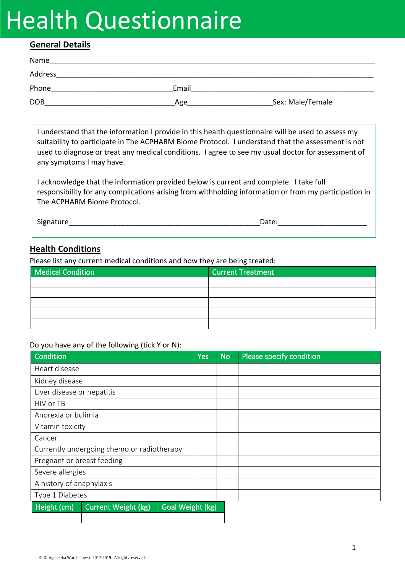# Health Questionnaire

### **General Details**

| Name       |       |                  |
|------------|-------|------------------|
| Address    |       |                  |
| Phone      | Email |                  |
| <b>DOB</b> | Age   | Sex: Male/Female |

I understand that the information I provide in this health questionnaire will be used to assess my suitability to participate in The ACPHARM Biome Protocol. I understand that the assessment is not used to diagnose or treat any medical conditions. I agree to see my usual doctor for assessment of any symptoms I may have.

I acknowledge that the information provided below is current and complete. I take full responsibility for any complications arising from withholding information or from my participation in The ACPHARM Biome Protocol.

Signature **Example 20** and the set of the set of the set of the set of the set of the set of the set of the set of the set of the set of the set of the set of the set of the set of the set of the set of the set of the set

## **Health Conditions**

Please list any current medical conditions and how they are being treated:

| <b>Medical Condition</b> | <b>Current Treatment</b> |
|--------------------------|--------------------------|
|                          |                          |
|                          |                          |
|                          |                          |
|                          |                          |
|                          |                          |

#### Do you have any of the following (tick Y or N):

| <b>Condition</b>           |                                            |                  | <b>Yes</b> | <b>No</b> |
|----------------------------|--------------------------------------------|------------------|------------|-----------|
| Heart disease              |                                            |                  |            |           |
| Kidney disease             |                                            |                  |            |           |
| Liver disease or hepatitis |                                            |                  |            |           |
| HIV or TB                  |                                            |                  |            |           |
| Anorexia or bulimia        |                                            |                  |            |           |
| Vitamin toxicity           |                                            |                  |            |           |
| Cancer                     |                                            |                  |            |           |
|                            | Currently undergoing chemo or radiotherapy |                  |            |           |
| Pregnant or breast feeding |                                            |                  |            |           |
| Severe allergies           |                                            |                  |            |           |
| A history of anaphylaxis   |                                            |                  |            |           |
| Type 1 Diabetes            |                                            |                  |            |           |
| Height (cm)                | <b>Current Weight (kg)</b>                 | Goal Weight (kg) |            |           |
|                            |                                            |                  |            |           |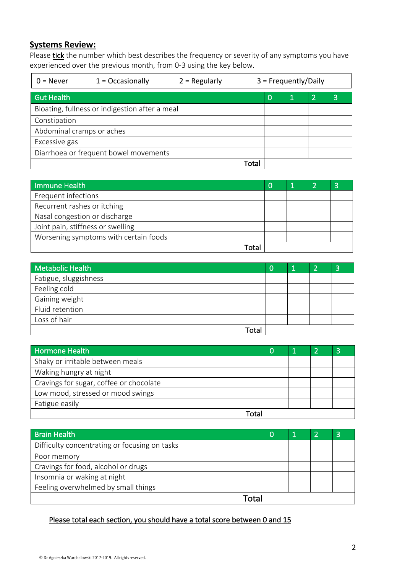# **Systems Review:**

Please tick the number which best describes the frequency or severity of any symptoms you have experienced over the previous month, from 0-3 using the key below.

| $0 =$ Never                                    | $1 = Occasionally$                    | $2 =$ Regularly |      |   | $3 =$ Frequently/Daily |                |   |
|------------------------------------------------|---------------------------------------|-----------------|------|---|------------------------|----------------|---|
| <b>Gut Health</b>                              |                                       |                 |      | 0 | Ú                      | $\overline{2}$ | 3 |
| Bloating, fullness or indigestion after a meal |                                       |                 |      |   |                        |                |   |
| Constipation                                   |                                       |                 |      |   |                        |                |   |
| Abdominal cramps or aches                      |                                       |                 |      |   |                        |                |   |
| Excessive gas                                  |                                       |                 |      |   |                        |                |   |
|                                                | Diarrhoea or frequent bowel movements |                 |      |   |                        |                |   |
|                                                |                                       |                 | Tota |   |                        |                |   |

| Immune Health                         |  | ◠ |
|---------------------------------------|--|---|
| Frequent infections                   |  |   |
| Recurrent rashes or itching           |  |   |
| Nasal congestion or discharge         |  |   |
| Joint pain, stiffness or swelling     |  |   |
| Worsening symptoms with certain foods |  |   |
|                                       |  |   |

| Metabolic Health      |  | e |
|-----------------------|--|---|
| Fatigue, sluggishness |  |   |
| Feeling cold          |  |   |
| Gaining weight        |  |   |
| Fluid retention       |  |   |
| Loss of hair          |  |   |
| Total                 |  |   |

| Hormone Health                          |  |  |
|-----------------------------------------|--|--|
| Shaky or irritable between meals        |  |  |
| Waking hungry at night                  |  |  |
| Cravings for sugar, coffee or chocolate |  |  |
| Low mood, stressed or mood swings       |  |  |
| Fatigue easily                          |  |  |
| Гоtа                                    |  |  |

| <b>Brain Health</b>                           | O |  |  |
|-----------------------------------------------|---|--|--|
| Difficulty concentrating or focusing on tasks |   |  |  |
| Poor memory                                   |   |  |  |
| Cravings for food, alcohol or drugs           |   |  |  |
| Insomnia or waking at night                   |   |  |  |
| Feeling overwhelmed by small things           |   |  |  |
| Γ∩†a                                          |   |  |  |

# Please total each section, you should have a total score between 0 and 15